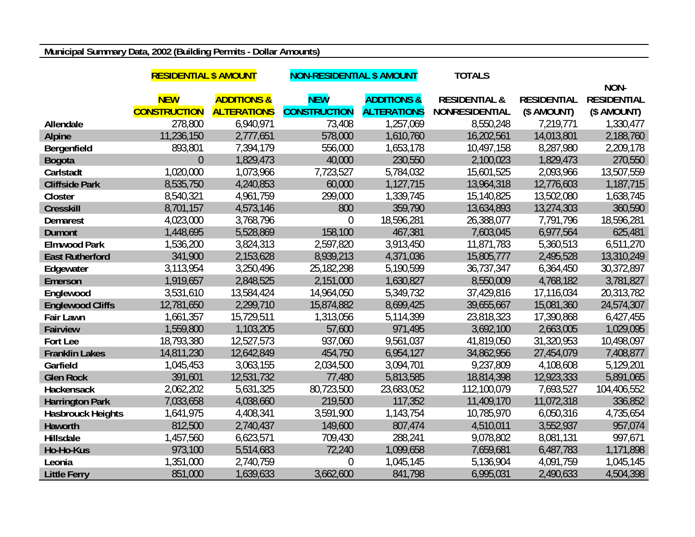## **Municipal Summary Data, 2002 (Building Permits - Dollar Amounts)**

|                          | <b>RESIDENTIAL \$ AMOUNT</b> |                        | <b>NON-RESIDENTIAL \$ AMOUNT</b> |                        | <b>TOTALS</b>            |                    |                    |
|--------------------------|------------------------------|------------------------|----------------------------------|------------------------|--------------------------|--------------------|--------------------|
|                          |                              |                        |                                  |                        |                          |                    | NON-               |
|                          | <b>NEW</b>                   | <b>ADDITIONS &amp;</b> | <b>NEW</b>                       | <b>ADDITIONS &amp;</b> | <b>RESIDENTIAL &amp;</b> | <b>RESIDENTIAL</b> | <b>RESIDENTIAL</b> |
|                          | <b>CONSTRUCTION</b>          | <b>ALTERATIONS</b>     | <b>CONSTRUCTION</b>              | <b>ALTERATIONS</b>     | <b>NONRESIDENTIAL</b>    | (\$ AMOUNT)        | (\$ AMOUNT)        |
| Allendale                | 278,800                      | 6,940,971              | 73,408                           | 1,257,069              | 8,550,248                | 7,219,771          | 1,330,477          |
| <b>Alpine</b>            | 11,236,150                   | 2,777,651              | 578,000                          | 1,610,760              | 16,202,561               | 14,013,801         | 2,188,760          |
| Bergenfield              | 893,801                      | 7,394,179              | 556,000                          | 1,653,178              | 10,497,158               | 8,287,980          | 2,209,178          |
| <b>Bogota</b>            | $\overline{0}$               | 1,829,473              | 40,000                           | 230,550                | 2,100,023                | 1,829,473          | 270,550            |
| Carlstadt                | 1,020,000                    | 1,073,966              | 7,723,527                        | 5,784,032              | 15,601,525               | 2,093,966          | 13,507,559         |
| <b>Cliffside Park</b>    | 8,535,750                    | 4,240,853              | 60,000                           | 1,127,715              | 13,964,318               | 12,776,603         | 1,187,715          |
| Closter                  | 8,540,321                    | 4,961,759              | 299,000                          | 1,339,745              | 15,140,825               | 13,502,080         | 1,638,745          |
| <b>Cresskill</b>         | 8,701,157                    | 4,573,146              | 800                              | 359,790                | 13,634,893               | 13,274,303         | 360,590            |
| <b>Demarest</b>          | 4,023,000                    | 3,768,796              | $\theta$                         | 18,596,281             | 26,388,077               | 7,791,796          | 18,596,281         |
| <b>Dumont</b>            | 1,448,695                    | 5,528,869              | 158,100                          | 467,381                | 7,603,045                | 6,977,564          | 625,481            |
| <b>Elmwood Park</b>      | 1,536,200                    | 3,824,313              | 2,597,820                        | 3,913,450              | 11,871,783               | 5,360,513          | 6,511,270          |
| <b>East Rutherford</b>   | 341,900                      | 2,153,628              | 8,939,213                        | 4,371,036              | 15,805,777               | 2,495,528          | 13,310,249         |
| Edgewater                | 3,113,954                    | 3,250,496              | 25,182,298                       | 5,190,599              | 36,737,347               | 6,364,450          | 30,372,897         |
| Emerson                  | 1,919,657                    | 2,848,525              | 2,151,000                        | 1,630,827              | 8,550,009                | 4,768,182          | 3,781,827          |
| Englewood                | 3,531,610                    | 13,584,424             | 14,964,050                       | 5,349,732              | 37,429,816               | 17,116,034         | 20,313,782         |
| <b>Englewood Cliffs</b>  | 12,781,650                   | 2,299,710              | 15,874,882                       | 8,699,425              | 39,655,667               | 15,081,360         | 24,574,307         |
| <b>Fair Lawn</b>         | 1,661,357                    | 15,729,511             | 1,313,056                        | 5,114,399              | 23,818,323               | 17,390,868         | 6,427,455          |
| <b>Fairview</b>          | 1,559,800                    | 1,103,205              | 57,600                           | 971,495                | 3,692,100                | 2,663,005          | 1,029,095          |
| Fort Lee                 | 18,793,380                   | 12,527,573             | 937,060                          | 9,561,037              | 41,819,050               | 31,320,953         | 10,498,097         |
| <b>Franklin Lakes</b>    | 14,811,230                   | 12,642,849             | 454,750                          | 6,954,127              | 34,862,956               | 27,454,079         | 7,408,877          |
| Garfield                 | 1,045,453                    | 3,063,155              | 2,034,500                        | 3,094,701              | 9,237,809                | 4,108,608          | 5,129,201          |
| <b>Glen Rock</b>         | 391,601                      | 12,531,732             | 77,480                           | 5,813,585              | 18,814,398               | 12,923,333         | 5,891,065          |
| Hackensack               | 2,062,202                    | 5,631,325              | 80,723,500                       | 23,683,052             | 112,100,079              | 7,693,527          | 104,406,552        |
| <b>Harrington Park</b>   | 7,033,658                    | 4,038,660              | 219,500                          | 117,352                | 11,409,170               | 11,072,318         | 336,852            |
| <b>Hasbrouck Heights</b> | 1,641,975                    | 4,408,341              | 3,591,900                        | 1,143,754              | 10,785,970               | 6,050,316          | 4,735,654          |
| Haworth                  | 812,500                      | 2,740,437              | 149,600                          | 807,474                | 4,510,011                | 3,552,937          | 957,074            |
| Hillsdale                | 1,457,560                    | 6,623,571              | 709,430                          | 288,241                | 9,078,802                | 8,081,131          | 997,671            |
| Ho-Ho-Kus                | 973,100                      | 5,514,683              | 72,240                           | 1,099,658              | 7,659,681                | 6,487,783          | 1,171,898          |
| Leonia                   | 1,351,000                    | 2,740,759              | $\overline{0}$                   | 1,045,145              | 5,136,904                | 4,091,759          | 1,045,145          |
| <b>Little Ferry</b>      | 851,000                      | 1,639,633              | 3,662,600                        | 841,798                | 6,995,031                | 2,490,633          | 4,504,398          |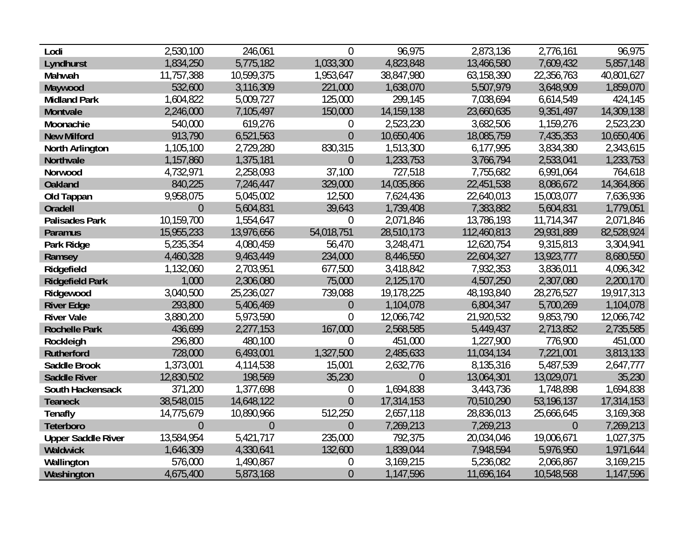| Lodi                      | 2,530,100      | 246,061        | $\Omega$         | 96,975     | 2,873,136   | 2,776,161      | 96,975     |
|---------------------------|----------------|----------------|------------------|------------|-------------|----------------|------------|
| Lyndhurst                 | 1,834,250      | 5,775,182      | 1,033,300        | 4,823,848  | 13,466,580  | 7,609,432      | 5,857,148  |
| Mahwah                    | 11,757,388     | 10,599,375     | 1,953,647        | 38,847,980 | 63,158,390  | 22,356,763     | 40,801,627 |
| Maywood                   | 532,600        | 3,116,309      | 221,000          | 1,638,070  | 5,507,979   | 3,648,909      | 1,859,070  |
| <b>Midland Park</b>       | 1,604,822      | 5,009,727      | 125,000          | 299,145    | 7,038,694   | 6,614,549      | 424,145    |
| Montvale                  | 2,246,000      | 7,105,497      | 150,000          | 14,159,138 | 23,660,635  | 9,351,497      | 14,309,138 |
| Moonachie                 | 540,000        | 619,276        | $\boldsymbol{0}$ | 2,523,230  | 3,682,506   | 1,159,276      | 2,523,230  |
| <b>New Milford</b>        | 913,790        | 6,521,563      | $\overline{0}$   | 10,650,406 | 18,085,759  | 7,435,353      | 10,650,406 |
| North Arlington           | 1,105,100      | 2,729,280      | 830,315          | 1,513,300  | 6,177,995   | 3,834,380      | 2,343,615  |
| Northvale                 | 1,157,860      | 1,375,181      | $\theta$         | 1,233,753  | 3,766,794   | 2,533,041      | 1,233,753  |
| Norwood                   | 4,732,971      | 2,258,093      | 37,100           | 727,518    | 7,755,682   | 6,991,064      | 764,618    |
| <b>Oakland</b>            | 840,225        | 7,246,447      | 329,000          | 14,035,866 | 22,451,538  | 8,086,672      | 14,364,866 |
| Old Tappan                | 9,958,075      | 5,045,002      | 12,500           | 7,624,436  | 22,640,013  | 15,003,077     | 7,636,936  |
| Oradell                   | $\overline{0}$ | 5,604,831      | 39,643           | 1,739,408  | 7,383,882   | 5,604,831      | 1,779,051  |
| <b>Palisades Park</b>     | 10,159,700     | 1,554,647      | $\overline{0}$   | 2,071,846  | 13,786,193  | 11,714,347     | 2,071,846  |
| <b>Paramus</b>            | 15,955,233     | 13,976,656     | 54,018,751       | 28,510,173 | 112,460,813 | 29,931,889     | 82,528,924 |
| Park Ridge                | 5,235,354      | 4,080,459      | 56,470           | 3,248,471  | 12,620,754  | 9,315,813      | 3,304,941  |
| Ramsey                    | 4,460,328      | 9,463,449      | 234,000          | 8,446,550  | 22,604,327  | 13,923,777     | 8,680,550  |
| Ridgefield                | 1,132,060      | 2,703,951      | 677,500          | 3,418,842  | 7,932,353   | 3,836,011      | 4,096,342  |
| <b>Ridgefield Park</b>    | 1,000          | 2,306,080      | 75,000           | 2,125,170  | 4,507,250   | 2,307,080      | 2,200,170  |
| Ridgewood                 | 3,040,500      | 25,236,027     | 739,088          | 19,178,225 | 48,193,840  | 28,276,527     | 19,917,313 |
| <b>River Edge</b>         | 293,800        | 5,406,469      | $\theta$         | 1,104,078  | 6,804,347   | 5,700,269      | 1,104,078  |
| <b>River Vale</b>         | 3,880,200      | 5,973,590      | $\overline{0}$   | 12,066,742 | 21,920,532  | 9,853,790      | 12,066,742 |
| <b>Rochelle Park</b>      | 436,699        | 2,277,153      | 167,000          | 2,568,585  | 5,449,437   | 2,713,852      | 2,735,585  |
| Rockleigh                 | 296,800        | 480,100        | $\theta$         | 451,000    | 1,227,900   | 776,900        | 451,000    |
| <b>Rutherford</b>         | 728,000        | 6,493,001      | 1,327,500        | 2,485,633  | 11,034,134  | 7,221,001      | 3,813,133  |
| <b>Saddle Brook</b>       | 1,373,001      | 4,114,538      | 15,001           | 2,632,776  | 8,135,316   | 5,487,539      | 2,647,777  |
| <b>Saddle River</b>       | 12,830,502     | 198,569        | 35,230           | $\theta$   | 13,064,301  | 13,029,071     | 35,230     |
| South Hackensack          | 371,200        | 1,377,698      | $\boldsymbol{0}$ | 1,694,838  | 3,443,736   | 1,748,898      | 1,694,838  |
| <b>Teaneck</b>            | 38,548,015     | 14,648,122     | $\overline{0}$   | 17,314,153 | 70,510,290  | 53,196,137     | 17,314,153 |
| <b>Tenafly</b>            | 14,775,679     | 10,890,966     | 512,250          | 2,657,118  | 28,836,013  | 25,666,645     | 3,169,368  |
| Teterboro                 | $\overline{0}$ | $\overline{0}$ | $\overline{0}$   | 7,269,213  | 7,269,213   | $\overline{0}$ | 7,269,213  |
| <b>Upper Saddle River</b> | 13,584,954     | 5,421,717      | 235,000          | 792,375    | 20,034,046  | 19,006,671     | 1,027,375  |
| Waldwick                  | 1,646,309      | 4,330,641      | 132,600          | 1,839,044  | 7,948,594   | 5,976,950      | 1,971,644  |
| Wallington                | 576,000        | 1,490,867      | $\boldsymbol{0}$ | 3,169,215  | 5,236,082   | 2,066,867      | 3,169,215  |
| Washington                | 4,675,400      | 5,873,168      | $\theta$         | 1,147,596  | 11,696,164  | 10,548,568     | 1,147,596  |